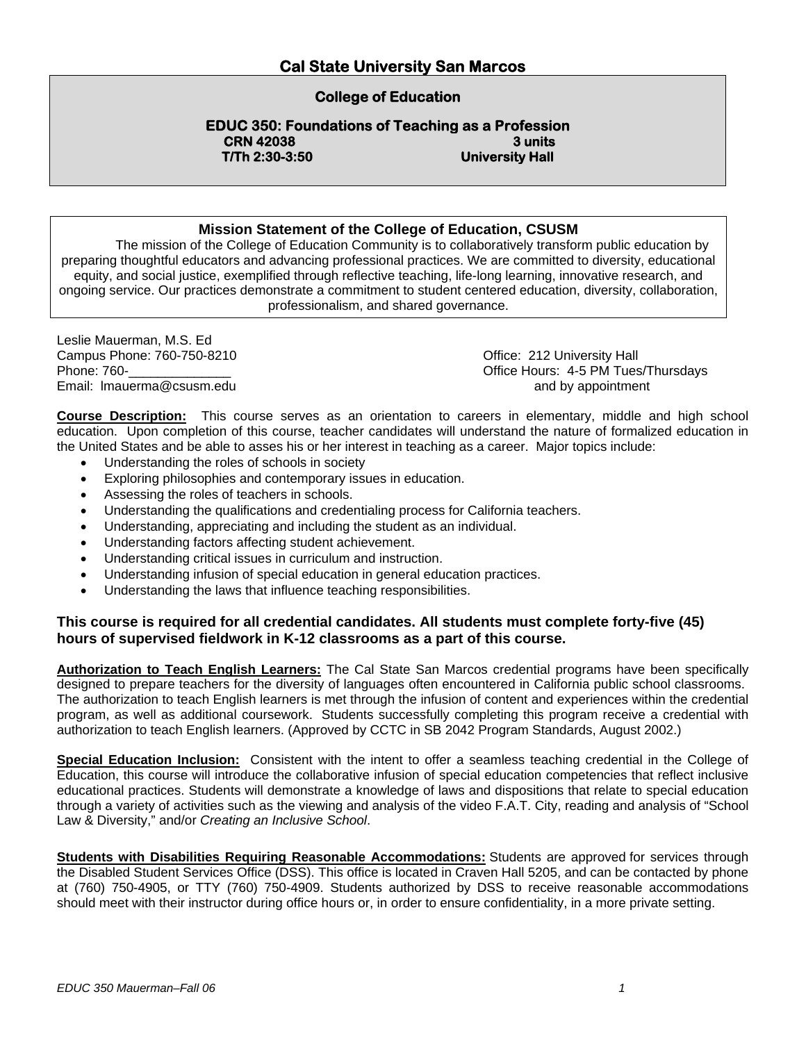## **College of Education**

**EDUC 350: Foundations of Teaching as a Profession CRN 42038** 3 units **T/Th 2:30-3:50 University Hall** 

### **Mission Statement of the College of Education, CSUSM**

The mission of the College of Education Community is to collaboratively transform public education by preparing thoughtful educators and advancing professional practices. We are committed to diversity, educational equity, and social justice, exemplified through reflective teaching, life-long learning, innovative research, and ongoing service. Our practices demonstrate a commitment to student centered education, diversity, collaboration, professionalism, and shared governance.

Leslie Mauerman, M.S. Ed Campus Phone: 760-750-8210 Campus Phone: 760-750-8210 Campus Phone: 212 University Hall<br>
Phone: 760-<br>
Office Hours: 4-5 PM Tues Email: Imauerma@csusm.edu and by appointment

Office Hours: 4-5 PM Tues/Thursdays

**Course Description:** This course serves as an orientation to careers in elementary, middle and high school education. Upon completion of this course, teacher candidates will understand the nature of formalized education in the United States and be able to asses his or her interest in teaching as a career. Major topics include:

- Understanding the roles of schools in society
- Exploring philosophies and contemporary issues in education.
- Assessing the roles of teachers in schools.
- Understanding the qualifications and credentialing process for California teachers.
- Understanding, appreciating and including the student as an individual.
- Understanding factors affecting student achievement.
- Understanding critical issues in curriculum and instruction.
- Understanding infusion of special education in general education practices.
- Understanding the laws that influence teaching responsibilities.

### **This course is required for all credential candidates. All students must complete forty-five (45) hours of supervised fieldwork in K-12 classrooms as a part of this course.**

**Authorization to Teach English Learners:** The Cal State San Marcos credential programs have been specifically designed to prepare teachers for the diversity of languages often encountered in California public school classrooms. The authorization to teach English learners is met through the infusion of content and experiences within the credential program, as well as additional coursework. Students successfully completing this program receive a credential with authorization to teach English learners. (Approved by CCTC in SB 2042 Program Standards, August 2002.)

**Special Education Inclusion:** Consistent with the intent to offer a seamless teaching credential in the College of Education, this course will introduce the collaborative infusion of special education competencies that reflect inclusive educational practices. Students will demonstrate a knowledge of laws and dispositions that relate to special education through a variety of activities such as the viewing and analysis of the video F.A.T. City, reading and analysis of "School Law & Diversity," and/or *Creating an Inclusive School*.

**Students with Disabilities Requiring Reasonable Accommodations:** Students are approved for services through the Disabled Student Services Office (DSS). This office is located in Craven Hall 5205, and can be contacted by phone at (760) 750-4905, or TTY (760) 750-4909. Students authorized by DSS to receive reasonable accommodations should meet with their instructor during office hours or, in order to ensure confidentiality, in a more private setting.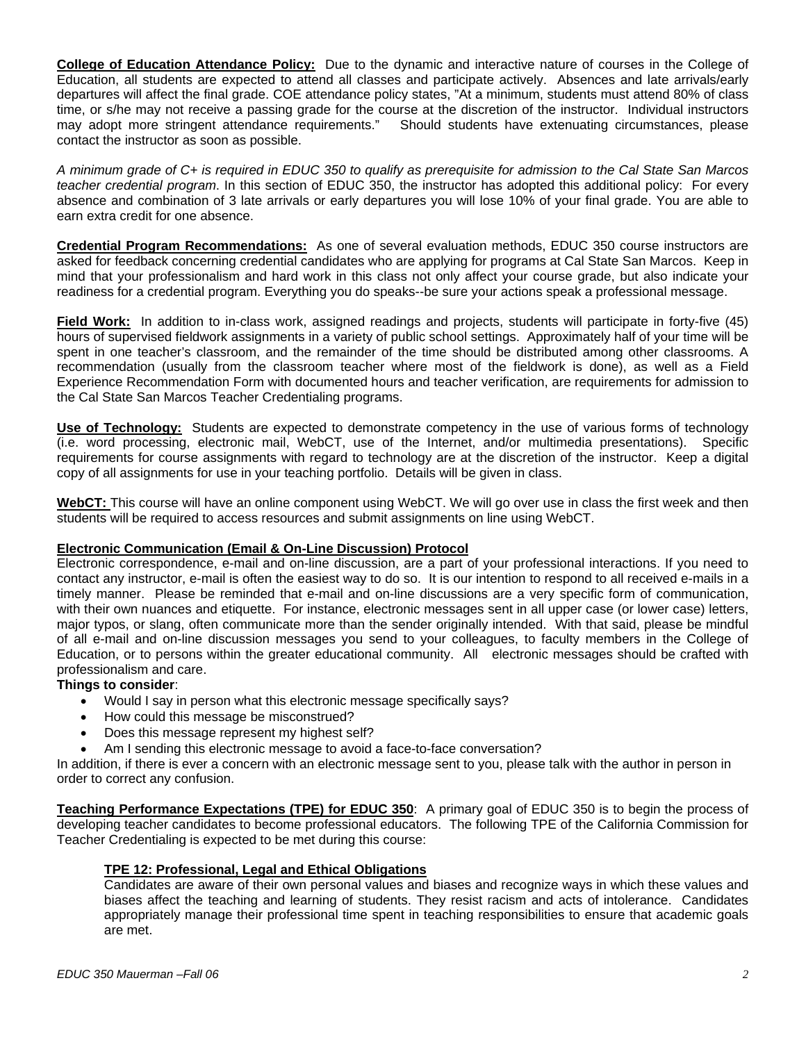**College of Education Attendance Policy:** Due to the dynamic and interactive nature of courses in the College of Education, all students are expected to attend all classes and participate actively. Absences and late arrivals/early departures will affect the final grade. COE attendance policy states, "At a minimum, students must attend 80% of class time, or s/he may not receive a passing grade for the course at the discretion of the instructor. Individual instructors may adopt more stringent attendance requirements." Should students have extenuating circumstances, please contact the instructor as soon as possible.

*A minimum grade of C+ is required in EDUC 350 to qualify as prerequisite for admission to the Cal State San Marcos teacher credential program*. In this section of EDUC 350, the instructor has adopted this additional policy: For every absence and combination of 3 late arrivals or early departures you will lose 10% of your final grade. You are able to earn extra credit for one absence.

**Credential Program Recommendations:** As one of several evaluation methods, EDUC 350 course instructors are asked for feedback concerning credential candidates who are applying for programs at Cal State San Marcos. Keep in mind that your professionalism and hard work in this class not only affect your course grade, but also indicate your readiness for a credential program. Everything you do speaks--be sure your actions speak a professional message.

**Field Work:** In addition to in-class work, assigned readings and projects, students will participate in forty-five (45) hours of supervised fieldwork assignments in a variety of public school settings. Approximately half of your time will be spent in one teacher's classroom, and the remainder of the time should be distributed among other classrooms. A recommendation (usually from the classroom teacher where most of the fieldwork is done), as well as a Field Experience Recommendation Form with documented hours and teacher verification, are requirements for admission to the Cal State San Marcos Teacher Credentialing programs.

**Use of Technology:** Students are expected to demonstrate competency in the use of various forms of technology (i.e. word processing, electronic mail, WebCT, use of the Internet, and/or multimedia presentations). Specific requirements for course assignments with regard to technology are at the discretion of the instructor. Keep a digital copy of all assignments for use in your teaching portfolio. Details will be given in class.

**WebCT:** This course will have an online component using WebCT. We will go over use in class the first week and then students will be required to access resources and submit assignments on line using WebCT.

#### **Electronic Communication (Email & On-Line Discussion) Protocol**

Electronic correspondence, e-mail and on-line discussion, are a part of your professional interactions. If you need to contact any instructor, e-mail is often the easiest way to do so. It is our intention to respond to all received e-mails in a timely manner. Please be reminded that e-mail and on-line discussions are a very specific form of communication, with their own nuances and etiquette. For instance, electronic messages sent in all upper case (or lower case) letters, major typos, or slang, often communicate more than the sender originally intended. With that said, please be mindful of all e-mail and on-line discussion messages you send to your colleagues, to faculty members in the College of Education, or to persons within the greater educational community. All electronic messages should be crafted with professionalism and care.

#### **Things to consider**:

- Would I say in person what this electronic message specifically says?
- How could this message be misconstrued?
- Does this message represent my highest self?
- Am I sending this electronic message to avoid a face-to-face conversation?

In addition, if there is ever a concern with an electronic message sent to you, please talk with the author in person in order to correct any confusion.

**Teaching Performance Expectations (TPE) for EDUC 350**: A primary goal of EDUC 350 is to begin the process of developing teacher candidates to become professional educators. The following TPE of the California Commission for Teacher Credentialing is expected to be met during this course:

#### **TPE 12: Professional, Legal and Ethical Obligations**

Candidates are aware of their own personal values and biases and recognize ways in which these values and biases affect the teaching and learning of students. They resist racism and acts of intolerance. Candidates appropriately manage their professional time spent in teaching responsibilities to ensure that academic goals are met.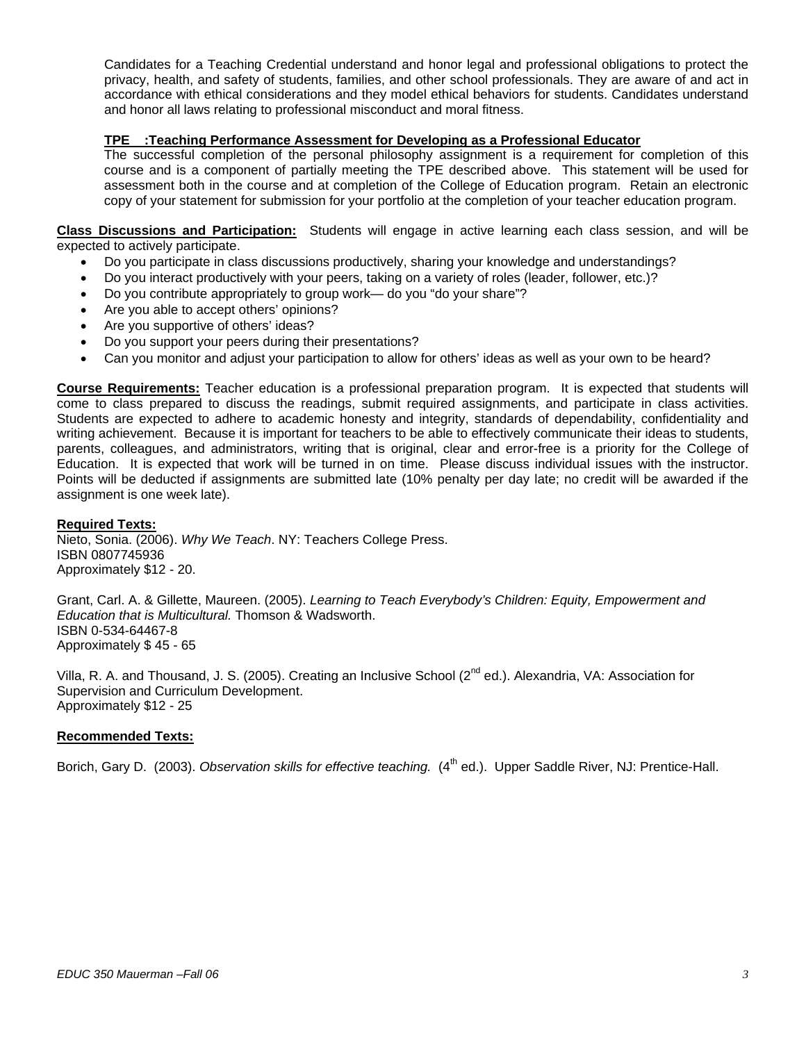Candidates for a Teaching Credential understand and honor legal and professional obligations to protect the privacy, health, and safety of students, families, and other school professionals. They are aware of and act in accordance with ethical considerations and they model ethical behaviors for students. Candidates understand and honor all laws relating to professional misconduct and moral fitness.

### **TPE :Teaching Performance Assessment for Developing as a Professional Educator**

The successful completion of the personal philosophy assignment is a requirement for completion of this course and is a component of partially meeting the TPE described above. This statement will be used for assessment both in the course and at completion of the College of Education program. Retain an electronic copy of your statement for submission for your portfolio at the completion of your teacher education program.

#### **Class Discussions and Participation:** Students will engage in active learning each class session, and will be expected to actively participate.

- Do you participate in class discussions productively, sharing your knowledge and understandings?
- Do you interact productively with your peers, taking on a variety of roles (leader, follower, etc.)?
- Do you contribute appropriately to group work— do you "do your share"?
- Are you able to accept others' opinions?
- Are you supportive of others' ideas?
- Do you support your peers during their presentations?
- Can you monitor and adjust your participation to allow for others' ideas as well as your own to be heard?

**Course Requirements:** Teacher education is a professional preparation program. It is expected that students will come to class prepared to discuss the readings, submit required assignments, and participate in class activities. Students are expected to adhere to academic honesty and integrity, standards of dependability, confidentiality and writing achievement. Because it is important for teachers to be able to effectively communicate their ideas to students, parents, colleagues, and administrators, writing that is original, clear and error-free is a priority for the College of Education. It is expected that work will be turned in on time. Please discuss individual issues with the instructor. Points will be deducted if assignments are submitted late (10% penalty per day late; no credit will be awarded if the assignment is one week late).

#### **Required Texts:**

Nieto, Sonia. (2006). *Why We Teach*. NY: Teachers College Press. ISBN 0807745936 Approximately \$12 - 20.

Grant, Carl. A. & Gillette, Maureen. (2005). *Learning to Teach Everybody's Children: Equity, Empowerment and Education that is Multicultural.* Thomson & Wadsworth. ISBN 0-534-64467-8 Approximately \$ 45 - 65

Villa, R. A. and Thousand, J. S. (2005). Creating an Inclusive School (2<sup>nd</sup> ed.). Alexandria, VA: Association for Supervision and Curriculum Development. Approximately \$12 - 25

#### **Recommended Texts:**

Borich, Gary D. (2003). *Observation skills for effective teaching.* (4<sup>th</sup> ed.). Upper Saddle River, NJ: Prentice-Hall.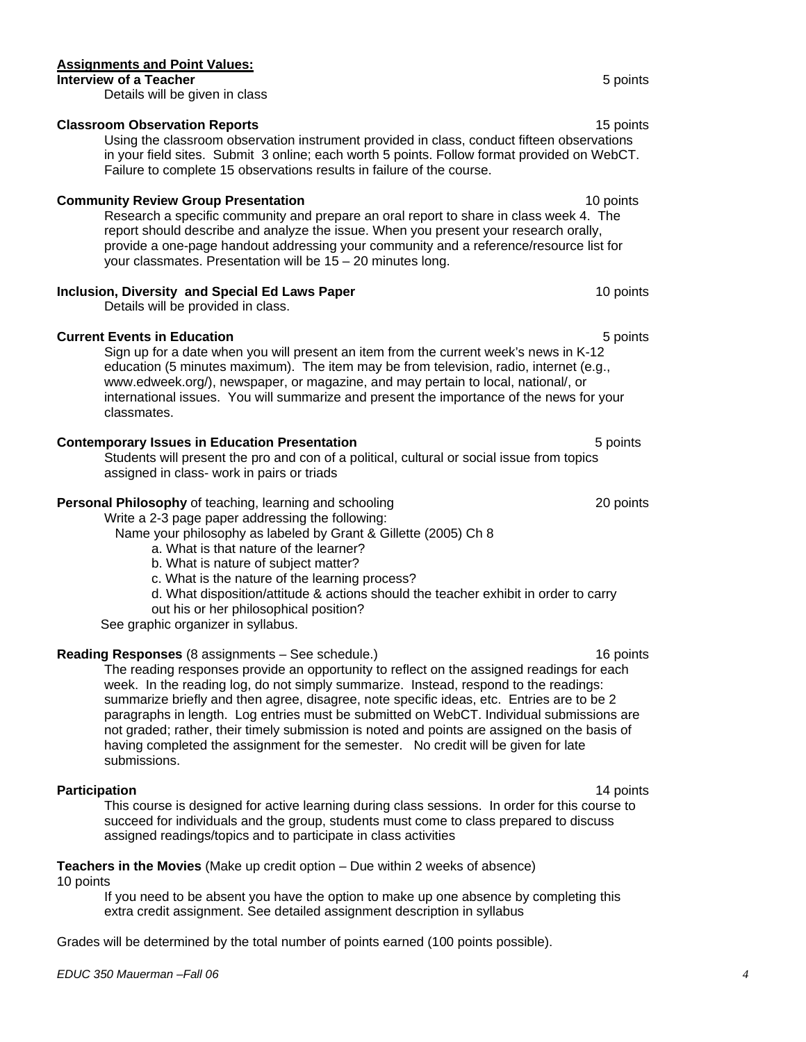## **Assignments and Point Values:**

**Interview of a Teacher Interview of a Teacher 5 points** Details will be given in class

## **Classroom Observation Reports** 15 points 15 points

Using the classroom observation instrument provided in class, conduct fifteen observations in your field sites. Submit 3 online; each worth 5 points. Follow format provided on WebCT. Failure to complete 15 observations results in failure of the course.

## **Community Review Group Presentation** 10 points 10 points

Research a specific community and prepare an oral report to share in class week 4. The report should describe and analyze the issue. When you present your research orally, provide a one-page handout addressing your community and a reference/resource list for your classmates. Presentation will be 15 – 20 minutes long.

## **Inclusion, Diversity and Special Ed Laws Paper** 10 points 10 points

Details will be provided in class.

## **Current Events in Education** 6 *Current* 5 points

Sign up for a date when you will present an item from the current week's news in K-12 education (5 minutes maximum). The item may be from television, radio, internet (e.g., www.edweek.org/), newspaper, or magazine, and may pertain to local, national/, or international issues. You will summarize and present the importance of the news for your classmates.

## **Contemporary Issues in Education Presentation**  5 points 5 points

Students will present the pro and con of a political, cultural or social issue from topics assigned in class- work in pairs or triads

## **Personal Philosophy** of teaching, learning and schooling 20 points 20 points

Write a 2-3 page paper addressing the following:

Name your philosophy as labeled by Grant & Gillette (2005) Ch 8

- a. What is that nature of the learner?
- b. What is nature of subject matter?
- c. What is the nature of the learning process?
- d. What disposition/attitude & actions should the teacher exhibit in order to carry
- out his or her philosophical position?

See graphic organizer in syllabus.

## **Reading Responses** (8 assignments – See schedule.) 16 points

The reading responses provide an opportunity to reflect on the assigned readings for each week. In the reading log, do not simply summarize. Instead, respond to the readings: summarize briefly and then agree, disagree, note specific ideas, etc. Entries are to be 2 paragraphs in length. Log entries must be submitted on WebCT. Individual submissions are not graded; rather, their timely submission is noted and points are assigned on the basis of having completed the assignment for the semester. No credit will be given for late submissions.

**Participation** 14 points **Participation** 14 **points** This course is designed for active learning during class sessions. In order for this course to succeed for individuals and the group, students must come to class prepared to discuss assigned readings/topics and to participate in class activities

## **Teachers in the Movies** (Make up credit option – Due within 2 weeks of absence)

10 points

 If you need to be absent you have the option to make up one absence by completing this extra credit assignment. See detailed assignment description in syllabus

Grades will be determined by the total number of points earned (100 points possible).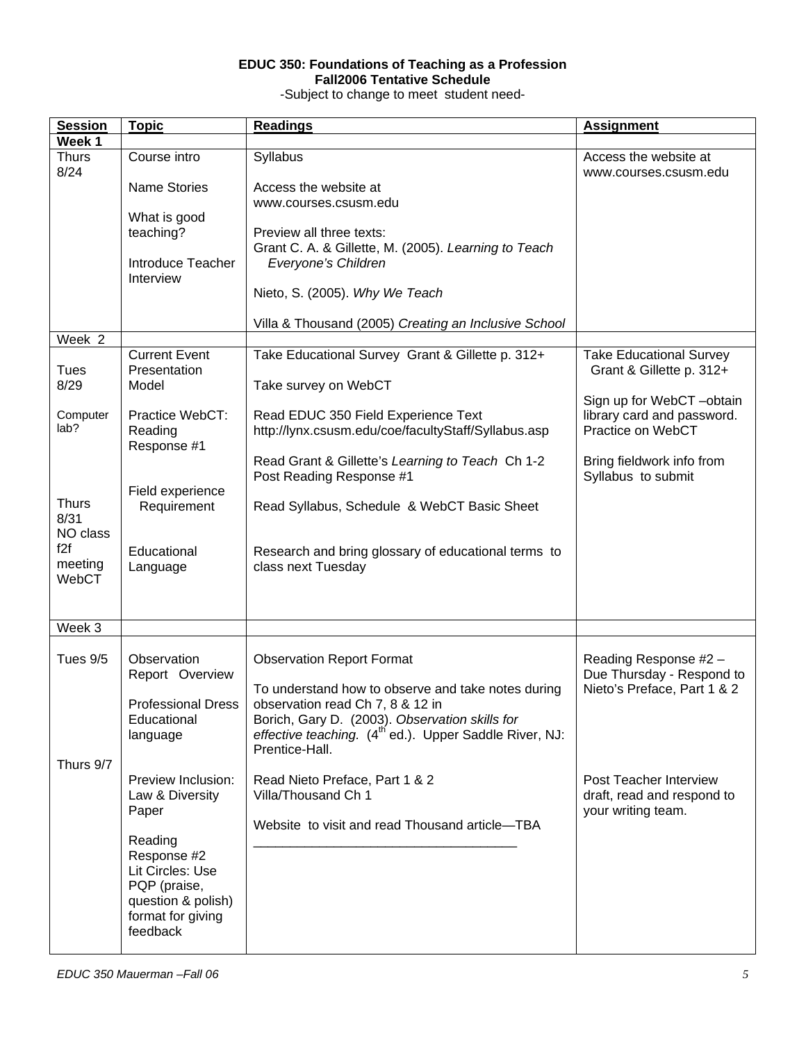## **EDUC 350: Foundations of Teaching as a Profession Fall2006 Tentative Schedule**

-Subject to change to meet student need-

| <b>Session</b>       | <b>Topic</b>                             | <b>Readings</b>                                                                            | <b>Assignment</b>                               |
|----------------------|------------------------------------------|--------------------------------------------------------------------------------------------|-------------------------------------------------|
| Week 1               |                                          |                                                                                            |                                                 |
| <b>Thurs</b><br>8/24 | Course intro                             | Syllabus                                                                                   | Access the website at<br>www.courses.csusm.edu  |
|                      | <b>Name Stories</b>                      | Access the website at                                                                      |                                                 |
|                      |                                          | www.courses.csusm.edu                                                                      |                                                 |
|                      | What is good<br>teaching?                | Preview all three texts:                                                                   |                                                 |
|                      |                                          | Grant C. A. & Gillette, M. (2005). Learning to Teach                                       |                                                 |
|                      | Introduce Teacher                        | Everyone's Children                                                                        |                                                 |
|                      | Interview                                |                                                                                            |                                                 |
|                      |                                          | Nieto, S. (2005). Why We Teach                                                             |                                                 |
| Week 2               |                                          | Villa & Thousand (2005) Creating an Inclusive School                                       |                                                 |
|                      | <b>Current Event</b>                     | Take Educational Survey Grant & Gillette p. 312+                                           | <b>Take Educational Survey</b>                  |
| <b>Tues</b>          | Presentation                             |                                                                                            | Grant & Gillette p. 312+                        |
| 8/29                 | Model                                    | Take survey on WebCT                                                                       |                                                 |
| Computer             |                                          |                                                                                            | Sign up for WebCT -obtain                       |
| lab?                 | Practice WebCT:<br>Reading               | Read EDUC 350 Field Experience Text<br>http://lynx.csusm.edu/coe/facultyStaff/Syllabus.asp | library card and password.<br>Practice on WebCT |
|                      | Response #1                              |                                                                                            |                                                 |
|                      |                                          | Read Grant & Gillette's Learning to Teach Ch 1-2                                           | Bring fieldwork info from                       |
|                      |                                          | Post Reading Response #1                                                                   | Syllabus to submit                              |
| <b>Thurs</b>         | Field experience<br>Requirement          | Read Syllabus, Schedule & WebCT Basic Sheet                                                |                                                 |
| 8/31                 |                                          |                                                                                            |                                                 |
| NO class<br>f2f      |                                          |                                                                                            |                                                 |
| meeting              | Educational<br>Language                  | Research and bring glossary of educational terms to<br>class next Tuesday                  |                                                 |
| WebCT                |                                          |                                                                                            |                                                 |
|                      |                                          |                                                                                            |                                                 |
|                      |                                          |                                                                                            |                                                 |
| Week 3               |                                          |                                                                                            |                                                 |
| Tues 9/5             | Observation                              | <b>Observation Report Format</b>                                                           | Reading Response #2 -                           |
|                      | Report Overview                          |                                                                                            | Due Thursday - Respond to                       |
|                      |                                          | To understand how to observe and take notes during                                         | Nieto's Preface, Part 1 & 2                     |
|                      | <b>Professional Dress</b><br>Educational | observation read Ch 7, 8 & 12 in<br>Borich, Gary D. (2003). Observation skills for         |                                                 |
|                      | language                                 | effective teaching. (4 <sup>th</sup> ed.). Upper Saddle River, NJ:                         |                                                 |
|                      |                                          | Prentice-Hall.                                                                             |                                                 |
| Thurs 9/7            | Preview Inclusion:                       |                                                                                            | <b>Post Teacher Interview</b>                   |
|                      | Law & Diversity                          | Read Nieto Preface, Part 1 & 2<br>Villa/Thousand Ch 1                                      | draft, read and respond to                      |
|                      | Paper                                    |                                                                                            | your writing team.                              |
|                      |                                          | Website to visit and read Thousand article-TBA                                             |                                                 |
|                      | Reading<br>Response #2                   |                                                                                            |                                                 |
|                      | Lit Circles: Use                         |                                                                                            |                                                 |
|                      | PQP (praise,                             |                                                                                            |                                                 |
|                      | question & polish)                       |                                                                                            |                                                 |
|                      | format for giving<br>feedback            |                                                                                            |                                                 |
|                      |                                          |                                                                                            |                                                 |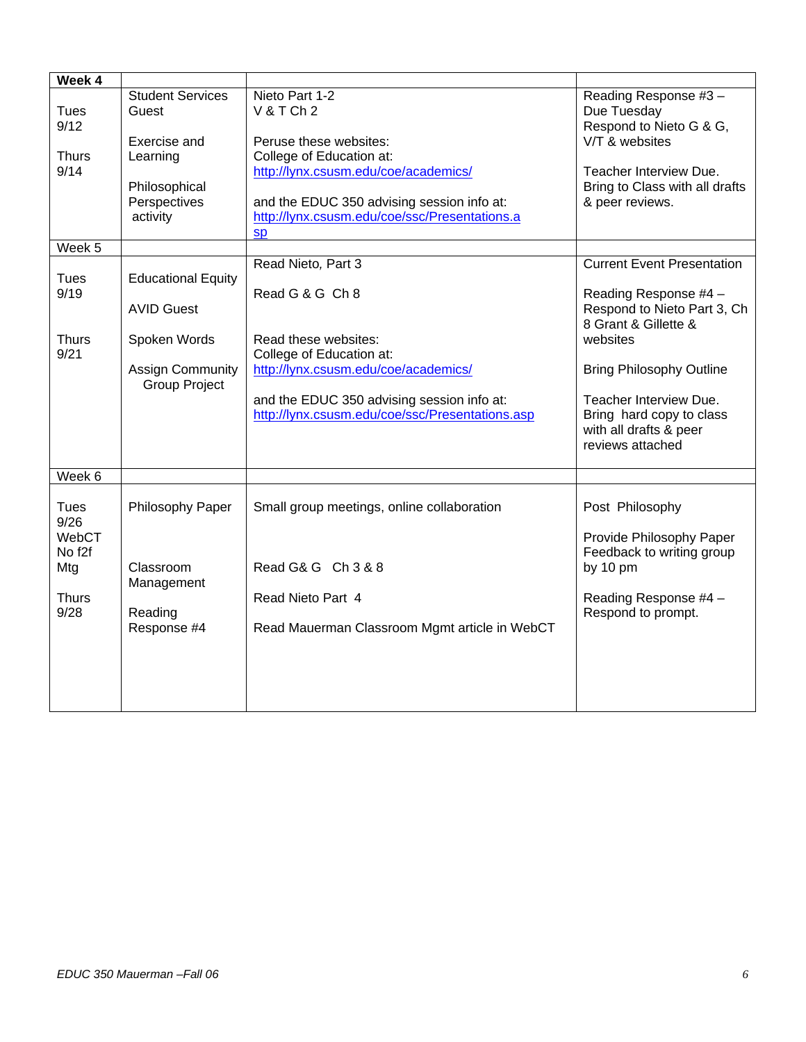| <b>Student Services</b><br>Guest<br>Exercise and<br>Learning          | Nieto Part 1-2<br>V&TCh2<br>Peruse these websites:<br>College of Education at:<br>http://lynx.csusm.edu/coe/academics/                                                                    | Reading Response #3-<br>Due Tuesday<br>Respond to Nieto G & G,<br>V/T & websites<br>Teacher Interview Due.<br>Bring to Class with all drafts    |
|-----------------------------------------------------------------------|-------------------------------------------------------------------------------------------------------------------------------------------------------------------------------------------|-------------------------------------------------------------------------------------------------------------------------------------------------|
| Perspectives<br>activity                                              | and the EDUC 350 advising session info at:<br>http://lynx.csusm.edu/coe/ssc/Presentations.a<br>sp                                                                                         | & peer reviews.                                                                                                                                 |
|                                                                       |                                                                                                                                                                                           |                                                                                                                                                 |
| <b>Educational Equity</b><br><b>AVID Guest</b>                        | Read Nieto, Part 3<br>Read G & G Ch 8                                                                                                                                                     | <b>Current Event Presentation</b><br>Reading Response #4 -<br>Respond to Nieto Part 3, Ch<br>8 Grant & Gillette &                               |
| Spoken Words<br><b>Assign Community</b><br>Group Project              | Read these websites:<br>College of Education at:<br>http://lynx.csusm.edu/coe/academics/<br>and the EDUC 350 advising session info at:<br>http://lynx.csusm.edu/coe/ssc/Presentations.asp | websites<br><b>Bring Philosophy Outline</b><br>Teacher Interview Due.<br>Bring hard copy to class<br>with all drafts & peer<br>reviews attached |
|                                                                       |                                                                                                                                                                                           |                                                                                                                                                 |
| Philosophy Paper<br>Classroom<br>Management<br>Reading<br>Response #4 | Small group meetings, online collaboration<br>Read G& G Ch 3 & 8<br>Read Nieto Part 4<br>Read Mauerman Classroom Mgmt article in WebCT                                                    | Post Philosophy<br>Provide Philosophy Paper<br>Feedback to writing group<br>by 10 pm<br>Reading Response #4 -<br>Respond to prompt.             |
|                                                                       | Philosophical                                                                                                                                                                             |                                                                                                                                                 |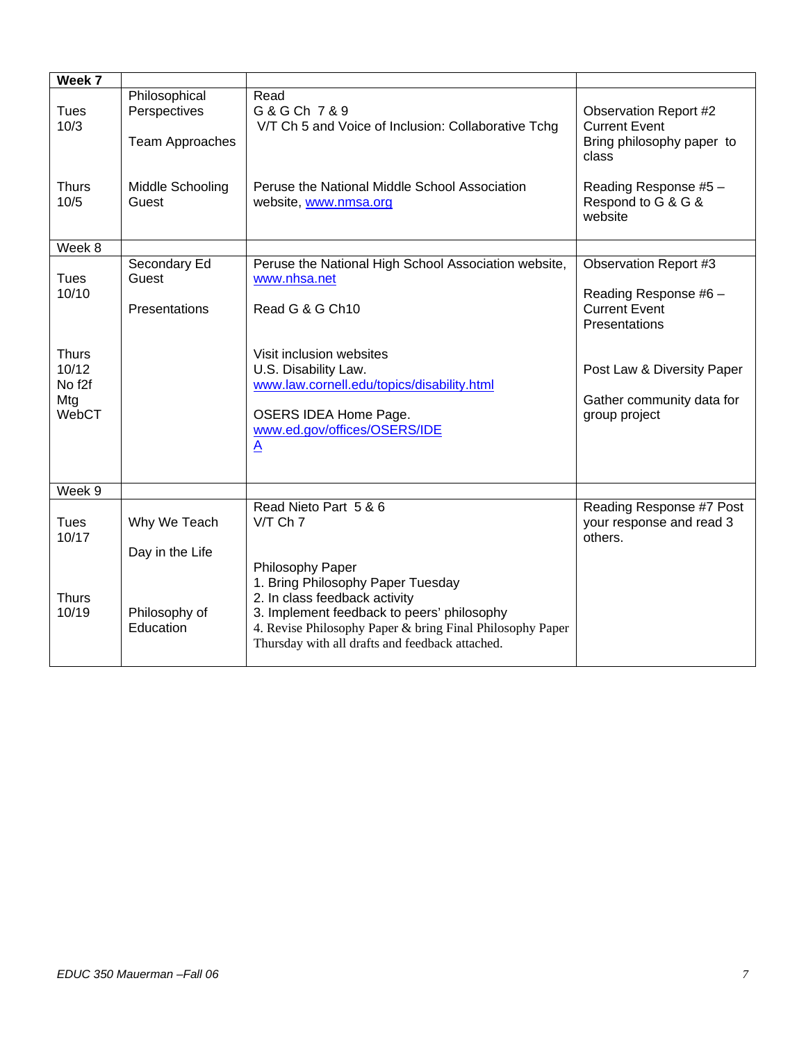| Week 7                                                      |                                                                                      |                                                                                                                                                                                                                                                      |                                                                                                                                           |
|-------------------------------------------------------------|--------------------------------------------------------------------------------------|------------------------------------------------------------------------------------------------------------------------------------------------------------------------------------------------------------------------------------------------------|-------------------------------------------------------------------------------------------------------------------------------------------|
| <b>Tues</b><br>10/3<br><b>Thurs</b><br>10/5                 | Philosophical<br>Perspectives<br><b>Team Approaches</b><br>Middle Schooling<br>Guest | Read<br>G & G Ch 7 & 9<br>V/T Ch 5 and Voice of Inclusion: Collaborative Tchg<br>Peruse the National Middle School Association<br>website, www.nmsa.org                                                                                              | <b>Observation Report #2</b><br><b>Current Event</b><br>Bring philosophy paper to<br>class<br>Reading Response #5 -<br>Respond to G & G & |
|                                                             |                                                                                      |                                                                                                                                                                                                                                                      | website                                                                                                                                   |
| Week 8                                                      |                                                                                      |                                                                                                                                                                                                                                                      |                                                                                                                                           |
| <b>Tues</b>                                                 | Secondary Ed<br>Guest                                                                | Peruse the National High School Association website,<br>www.nhsa.net                                                                                                                                                                                 | <b>Observation Report #3</b>                                                                                                              |
| 10/10                                                       | Presentations                                                                        | Read G & G Ch10                                                                                                                                                                                                                                      | Reading Response #6 -<br><b>Current Event</b><br>Presentations                                                                            |
| <b>Thurs</b><br>10/12<br>No f <sub>2f</sub><br>Mtg<br>WebCT |                                                                                      | Visit inclusion websites<br>U.S. Disability Law.<br>www.law.cornell.edu/topics/disability.html<br>OSERS IDEA Home Page.<br>www.ed.gov/offices/OSERS/IDE<br>$\underline{A}$                                                                           | Post Law & Diversity Paper<br>Gather community data for<br>group project                                                                  |
| Week 9                                                      |                                                                                      |                                                                                                                                                                                                                                                      |                                                                                                                                           |
| <b>Tues</b><br>10/17                                        | Why We Teach<br>Day in the Life                                                      | Read Nieto Part 5 & 6<br>V/T Ch 7                                                                                                                                                                                                                    | Reading Response #7 Post<br>your response and read 3<br>others.                                                                           |
| <b>Thurs</b><br>10/19                                       | Philosophy of<br>Education                                                           | Philosophy Paper<br>1. Bring Philosophy Paper Tuesday<br>2. In class feedback activity<br>3. Implement feedback to peers' philosophy<br>4. Revise Philosophy Paper & bring Final Philosophy Paper<br>Thursday with all drafts and feedback attached. |                                                                                                                                           |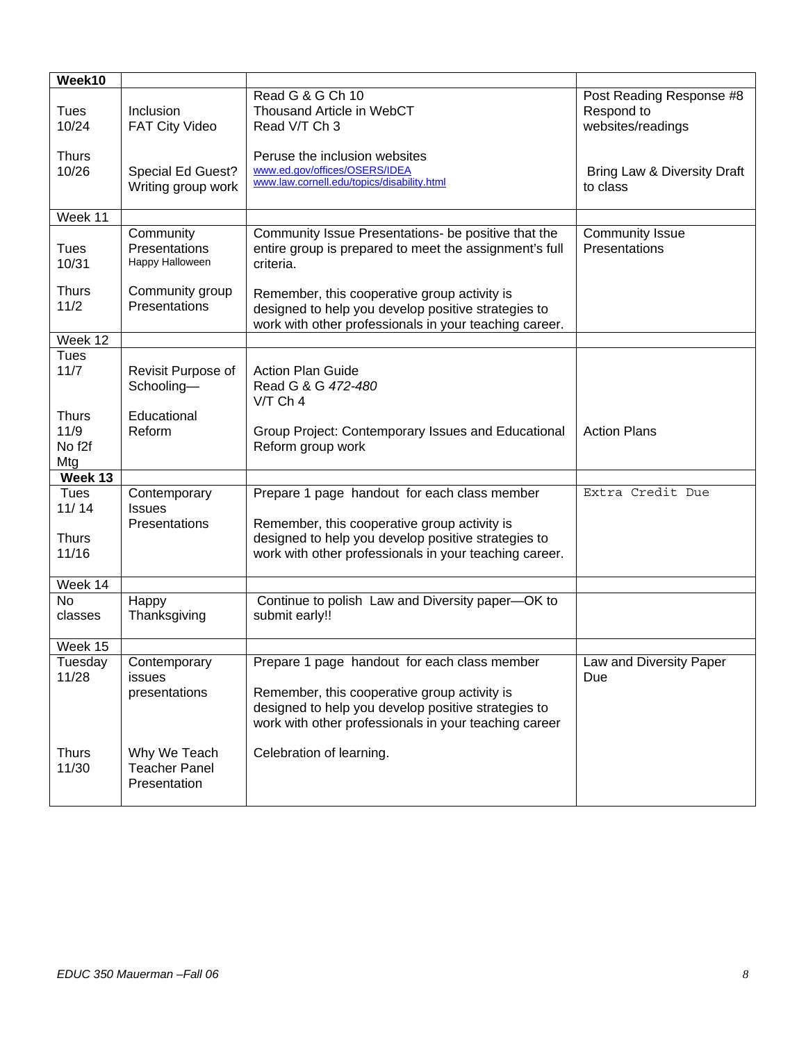| Week10                                            |                                                      |                                                                                                                                                               |                                                             |
|---------------------------------------------------|------------------------------------------------------|---------------------------------------------------------------------------------------------------------------------------------------------------------------|-------------------------------------------------------------|
| <b>Tues</b><br>10/24                              | Inclusion<br><b>FAT City Video</b>                   | Read G & G Ch 10<br>Thousand Article in WebCT<br>Read V/T Ch 3                                                                                                | Post Reading Response #8<br>Respond to<br>websites/readings |
| <b>Thurs</b><br>10/26                             | Special Ed Guest?<br>Writing group work              | Peruse the inclusion websites<br>www.ed.gov/offices/OSERS/IDEA<br>www.law.cornell.edu/topics/disability.html                                                  | Bring Law & Diversity Draft<br>to class                     |
| Week 11                                           |                                                      |                                                                                                                                                               |                                                             |
| <b>Tues</b><br>10/31                              | Community<br>Presentations<br>Happy Halloween        | Community Issue Presentations- be positive that the<br>entire group is prepared to meet the assignment's full<br>criteria.                                    | <b>Community Issue</b><br>Presentations                     |
| <b>Thurs</b><br>11/2                              | Community group<br>Presentations                     | Remember, this cooperative group activity is<br>designed to help you develop positive strategies to<br>work with other professionals in your teaching career. |                                                             |
| Week 12                                           |                                                      |                                                                                                                                                               |                                                             |
| <b>Tues</b><br>11/7                               | Revisit Purpose of<br>Schooling-                     | <b>Action Plan Guide</b><br>Read G & G 472-480<br>$V/T$ Ch 4                                                                                                  |                                                             |
| <b>Thurs</b><br>11/9<br>No f <sub>2f</sub><br>Mtg | Educational<br>Reform                                | Group Project: Contemporary Issues and Educational<br>Reform group work                                                                                       | <b>Action Plans</b>                                         |
| Week 13                                           |                                                      |                                                                                                                                                               |                                                             |
| Tues<br>11/14<br><b>Thurs</b>                     | Contemporary<br><b>Issues</b><br>Presentations       | Prepare 1 page handout for each class member<br>Remember, this cooperative group activity is<br>designed to help you develop positive strategies to           | Extra Credit Due                                            |
| 11/16                                             |                                                      | work with other professionals in your teaching career.                                                                                                        |                                                             |
| Week 14                                           |                                                      |                                                                                                                                                               |                                                             |
| <b>No</b><br>classes                              | Happy<br>Thanksgiving                                | Continue to polish Law and Diversity paper-OK to<br>submit early!!                                                                                            |                                                             |
| Week 15                                           |                                                      |                                                                                                                                                               |                                                             |
| Tuesday<br>11/28                                  | Contemporary<br><b>issues</b>                        | Prepare 1 page handout for each class member                                                                                                                  | Law and Diversity Paper<br>Due                              |
|                                                   | presentations                                        | Remember, this cooperative group activity is<br>designed to help you develop positive strategies to<br>work with other professionals in your teaching career  |                                                             |
| <b>Thurs</b><br>11/30                             | Why We Teach<br><b>Teacher Panel</b><br>Presentation | Celebration of learning.                                                                                                                                      |                                                             |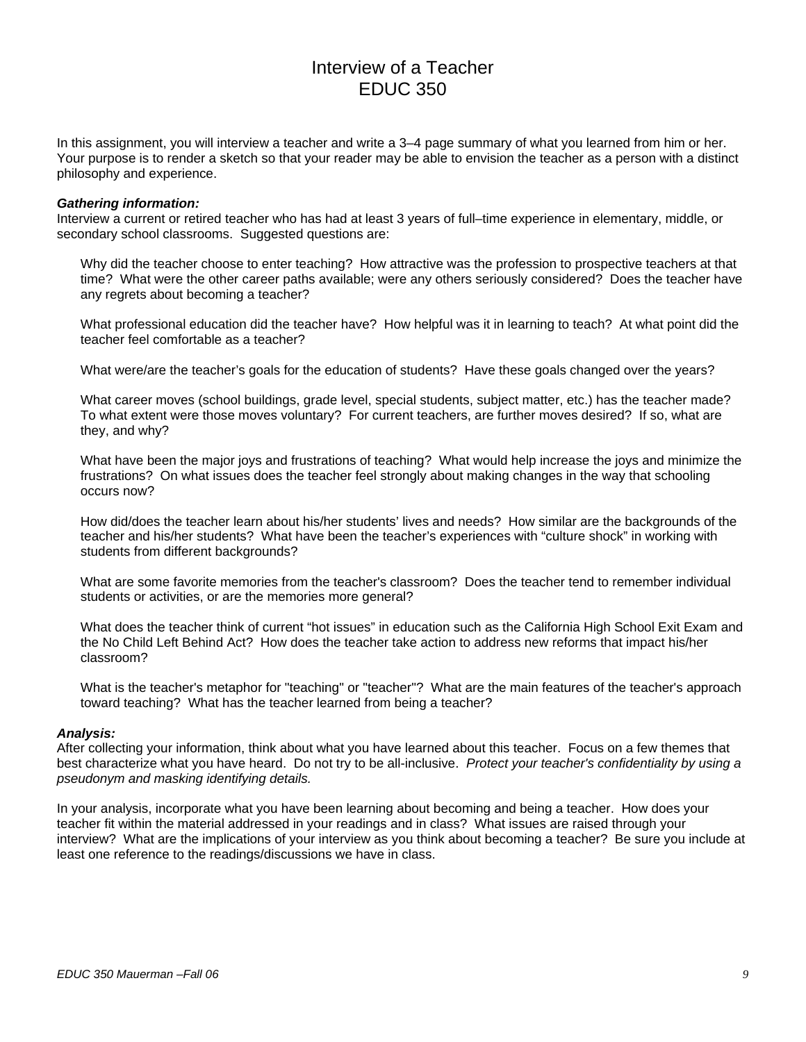# Interview of a Teacher EDUC 350

In this assignment, you will interview a teacher and write a 3–4 page summary of what you learned from him or her. Your purpose is to render a sketch so that your reader may be able to envision the teacher as a person with a distinct philosophy and experience.

#### *Gathering information:*

Interview a current or retired teacher who has had at least 3 years of full–time experience in elementary, middle, or secondary school classrooms. Suggested questions are:

Why did the teacher choose to enter teaching? How attractive was the profession to prospective teachers at that time? What were the other career paths available; were any others seriously considered? Does the teacher have any regrets about becoming a teacher?

What professional education did the teacher have? How helpful was it in learning to teach? At what point did the teacher feel comfortable as a teacher?

What were/are the teacher's goals for the education of students? Have these goals changed over the years?

What career moves (school buildings, grade level, special students, subject matter, etc.) has the teacher made? To what extent were those moves voluntary? For current teachers, are further moves desired? If so, what are they, and why?

What have been the major joys and frustrations of teaching? What would help increase the joys and minimize the frustrations? On what issues does the teacher feel strongly about making changes in the way that schooling occurs now?

How did/does the teacher learn about his/her students' lives and needs? How similar are the backgrounds of the teacher and his/her students? What have been the teacher's experiences with "culture shock" in working with students from different backgrounds?

What are some favorite memories from the teacher's classroom? Does the teacher tend to remember individual students or activities, or are the memories more general?

What does the teacher think of current "hot issues" in education such as the California High School Exit Exam and the No Child Left Behind Act? How does the teacher take action to address new reforms that impact his/her classroom?

What is the teacher's metaphor for "teaching" or "teacher"? What are the main features of the teacher's approach toward teaching? What has the teacher learned from being a teacher?

#### *Analysis:*

After collecting your information, think about what you have learned about this teacher. Focus on a few themes that best characterize what you have heard. Do not try to be all-inclusive. *Protect your teacher's confidentiality by using a pseudonym and masking identifying details.* 

In your analysis, incorporate what you have been learning about becoming and being a teacher. How does your teacher fit within the material addressed in your readings and in class? What issues are raised through your interview? What are the implications of your interview as you think about becoming a teacher? Be sure you include at least one reference to the readings/discussions we have in class.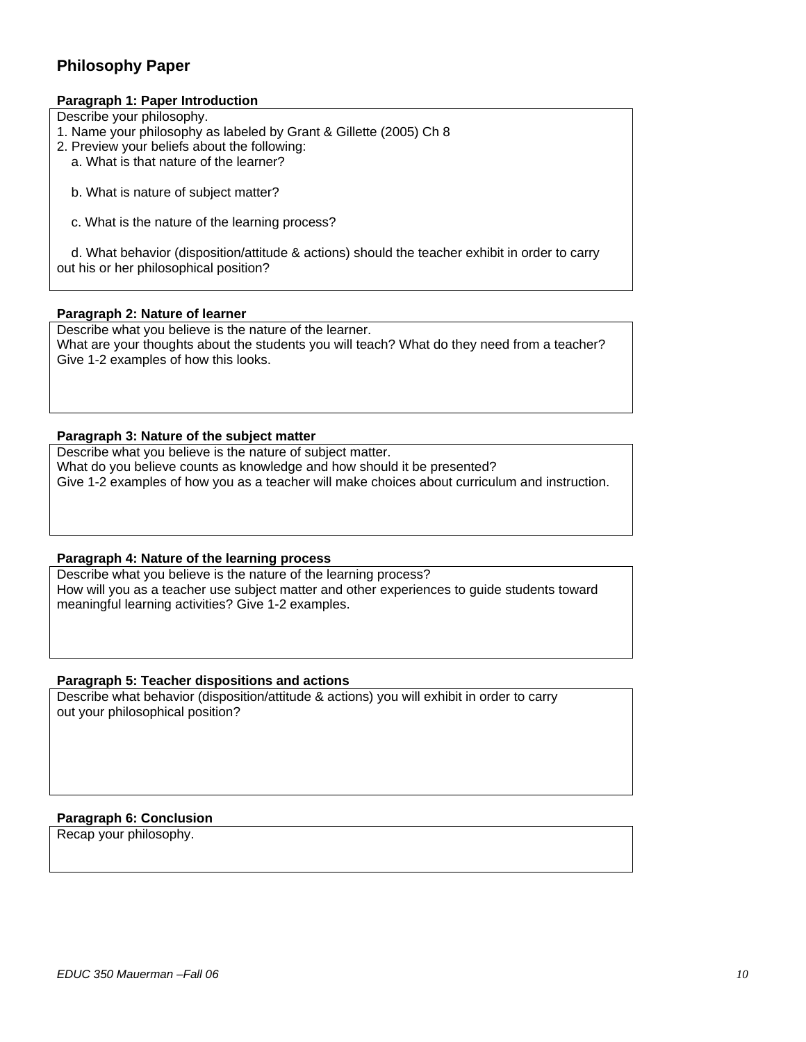## **Philosophy Paper**

### **Paragraph 1: Paper Introduction**

Describe your philosophy.

- 1. Name your philosophy as labeled by Grant & Gillette (2005) Ch 8
- 2. Preview your beliefs about the following:
	- a. What is that nature of the learner?
	- b. What is nature of subject matter?
	- c. What is the nature of the learning process?

 d. What behavior (disposition/attitude & actions) should the teacher exhibit in order to carry out his or her philosophical position?

#### **Paragraph 2: Nature of learner**

Describe what you believe is the nature of the learner. What are your thoughts about the students you will teach? What do they need from a teacher? Give 1-2 examples of how this looks.

#### **Paragraph 3: Nature of the subject matter**

Describe what you believe is the nature of subject matter. What do you believe counts as knowledge and how should it be presented? Give 1-2 examples of how you as a teacher will make choices about curriculum and instruction.

#### **Paragraph 4: Nature of the learning process**

Describe what you believe is the nature of the learning process? How will you as a teacher use subject matter and other experiences to guide students toward meaningful learning activities? Give 1-2 examples.

#### **Paragraph 5: Teacher dispositions and actions**

Describe what behavior (disposition/attitude & actions) you will exhibit in order to carry out your philosophical position?

### **Paragraph 6: Conclusion**

Recap your philosophy.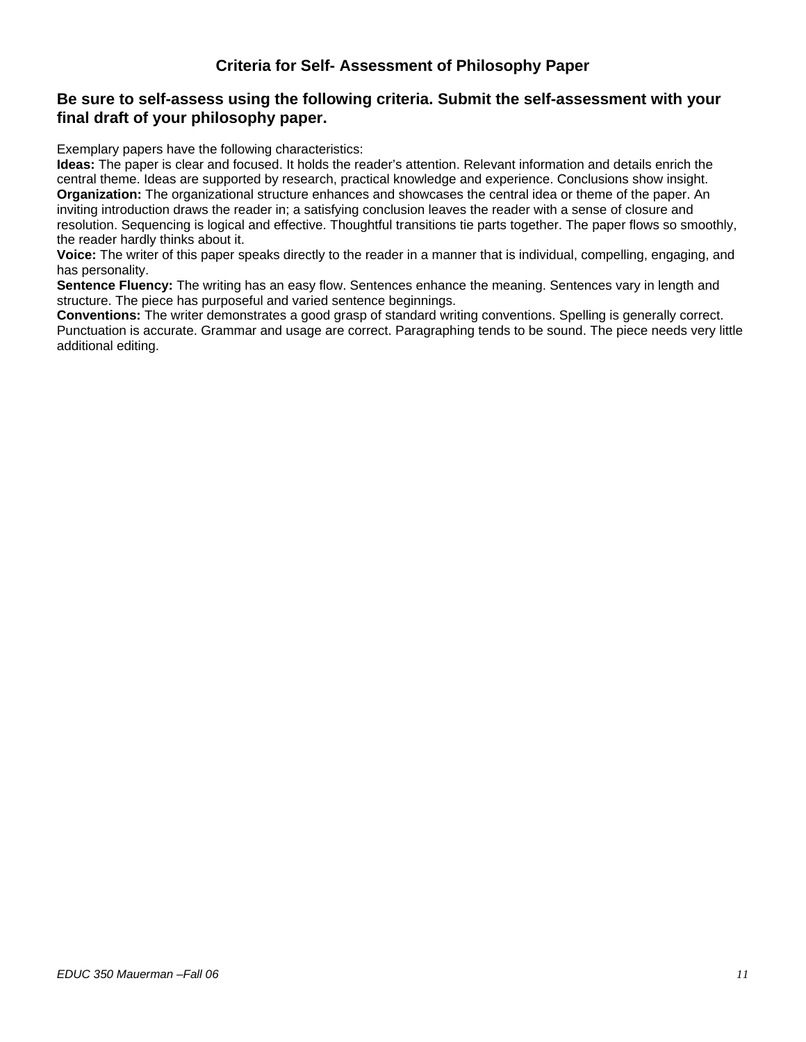## **Criteria for Self- Assessment of Philosophy Paper**

## **Be sure to self-assess using the following criteria. Submit the self-assessment with your final draft of your philosophy paper.**

Exemplary papers have the following characteristics:

**Ideas:** The paper is clear and focused. It holds the reader's attention. Relevant information and details enrich the central theme. Ideas are supported by research, practical knowledge and experience. Conclusions show insight. **Organization:** The organizational structure enhances and showcases the central idea or theme of the paper. An inviting introduction draws the reader in; a satisfying conclusion leaves the reader with a sense of closure and resolution. Sequencing is logical and effective. Thoughtful transitions tie parts together. The paper flows so smoothly, the reader hardly thinks about it.

**Voice:** The writer of this paper speaks directly to the reader in a manner that is individual, compelling, engaging, and has personality.

**Sentence Fluency:** The writing has an easy flow. Sentences enhance the meaning. Sentences vary in length and structure. The piece has purposeful and varied sentence beginnings.

**Conventions:** The writer demonstrates a good grasp of standard writing conventions. Spelling is generally correct. Punctuation is accurate. Grammar and usage are correct. Paragraphing tends to be sound. The piece needs very little additional editing.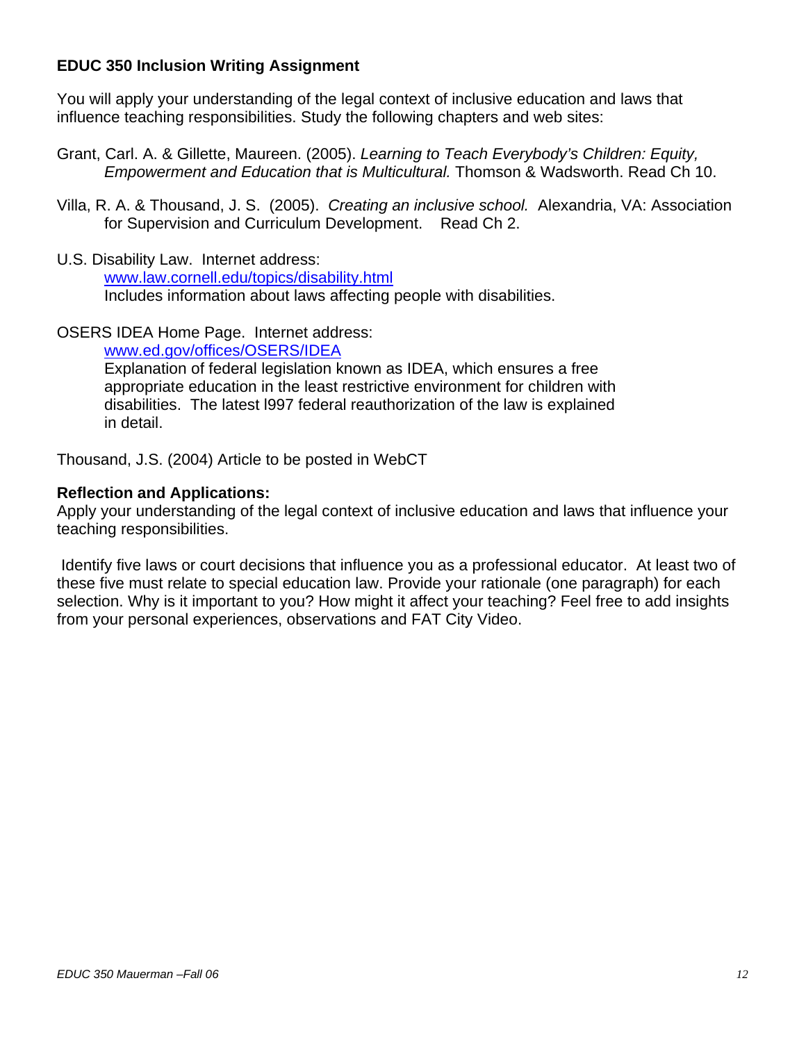## **EDUC 350 Inclusion Writing Assignment**

You will apply your understanding of the legal context of inclusive education and laws that influence teaching responsibilities. Study the following chapters and web sites:

- Grant, Carl. A. & Gillette, Maureen. (2005). *Learning to Teach Everybody's Children: Equity, Empowerment and Education that is Multicultural.* Thomson & Wadsworth. Read Ch 10.
- Villa, R. A. & Thousand, J. S. (2005). *Creating an inclusive school.* Alexandria, VA: Association for Supervision and Curriculum Development. Read Ch 2.
- U.S. Disability Law. Internet address: www.law.cornell.edu/topics/disability.html Includes information about laws affecting people with disabilities.

## OSERS IDEA Home Page. Internet address:

www.ed.gov/offices/OSERS/IDEA

Explanation of federal legislation known as IDEA, which ensures a free appropriate education in the least restrictive environment for children with disabilities. The latest l997 federal reauthorization of the law is explained in detail.

Thousand, J.S. (2004) Article to be posted in WebCT

## **Reflection and Applications:**

Apply your understanding of the legal context of inclusive education and laws that influence your teaching responsibilities.

 Identify five laws or court decisions that influence you as a professional educator. At least two of these five must relate to special education law. Provide your rationale (one paragraph) for each selection. Why is it important to you? How might it affect your teaching? Feel free to add insights from your personal experiences, observations and FAT City Video.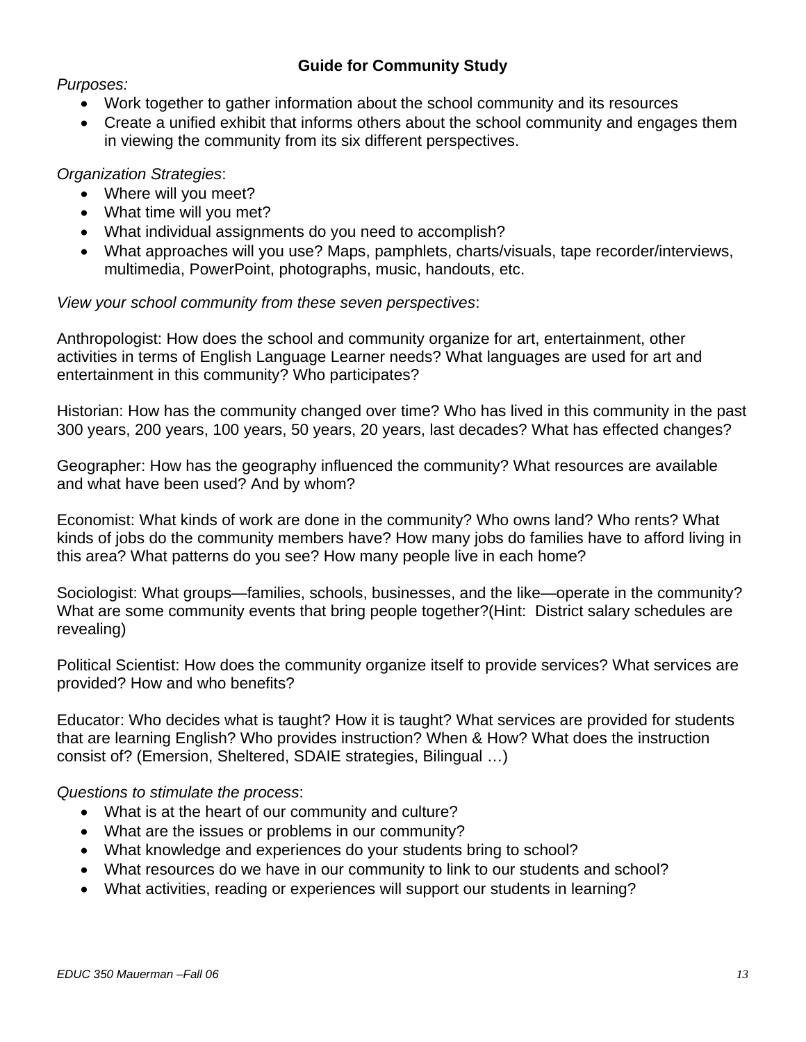# **Guide for Community Study**

*Purposes:* 

- Work together to gather information about the school community and its resources
- Create a unified exhibit that informs others about the school community and engages them in viewing the community from its six different perspectives.

# *Organization Strategies*:

- Where will you meet?
- What time will you met?
- What individual assignments do you need to accomplish?
- What approaches will you use? Maps, pamphlets, charts/visuals, tape recorder/interviews, multimedia, PowerPoint, photographs, music, handouts, etc.

*View your school community from these seven perspectives*:

Anthropologist: How does the school and community organize for art, entertainment, other activities in terms of English Language Learner needs? What languages are used for art and entertainment in this community? Who participates?

Historian: How has the community changed over time? Who has lived in this community in the past 300 years, 200 years, 100 years, 50 years, 20 years, last decades? What has effected changes?

Geographer: How has the geography influenced the community? What resources are available and what have been used? And by whom?

Economist: What kinds of work are done in the community? Who owns land? Who rents? What kinds of jobs do the community members have? How many jobs do families have to afford living in this area? What patterns do you see? How many people live in each home?

Sociologist: What groups—families, schools, businesses, and the like—operate in the community? What are some community events that bring people together?(Hint: District salary schedules are revealing)

Political Scientist: How does the community organize itself to provide services? What services are provided? How and who benefits?

Educator: Who decides what is taught? How it is taught? What services are provided for students that are learning English? Who provides instruction? When & How? What does the instruction consist of? (Emersion, Sheltered, SDAIE strategies, Bilingual …)

*Questions to stimulate the process*:

- What is at the heart of our community and culture?
- What are the issues or problems in our community?
- What knowledge and experiences do your students bring to school?
- What resources do we have in our community to link to our students and school?
- What activities, reading or experiences will support our students in learning?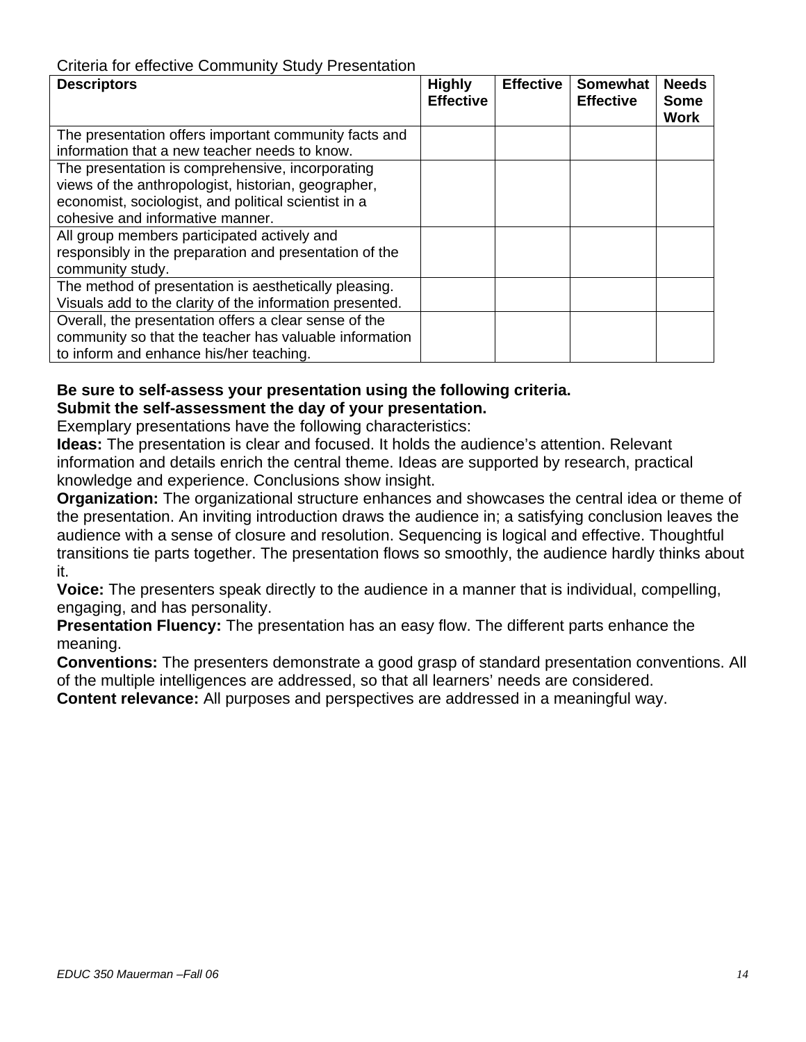# Criteria for effective Community Study Presentation

| <b>Descriptors</b>                                       | <b>Highly</b><br><b>Effective</b> | <b>Effective</b> | <b>Somewhat</b><br><b>Effective</b> | <b>Needs</b><br><b>Some</b><br><b>Work</b> |
|----------------------------------------------------------|-----------------------------------|------------------|-------------------------------------|--------------------------------------------|
| The presentation offers important community facts and    |                                   |                  |                                     |                                            |
| information that a new teacher needs to know.            |                                   |                  |                                     |                                            |
| The presentation is comprehensive, incorporating         |                                   |                  |                                     |                                            |
| views of the anthropologist, historian, geographer,      |                                   |                  |                                     |                                            |
| economist, sociologist, and political scientist in a     |                                   |                  |                                     |                                            |
| cohesive and informative manner.                         |                                   |                  |                                     |                                            |
| All group members participated actively and              |                                   |                  |                                     |                                            |
| responsibly in the preparation and presentation of the   |                                   |                  |                                     |                                            |
| community study.                                         |                                   |                  |                                     |                                            |
| The method of presentation is aesthetically pleasing.    |                                   |                  |                                     |                                            |
| Visuals add to the clarity of the information presented. |                                   |                  |                                     |                                            |
| Overall, the presentation offers a clear sense of the    |                                   |                  |                                     |                                            |
| community so that the teacher has valuable information   |                                   |                  |                                     |                                            |
| to inform and enhance his/her teaching.                  |                                   |                  |                                     |                                            |

# **Be sure to self-assess your presentation using the following criteria.**

**Submit the self-assessment the day of your presentation.**

Exemplary presentations have the following characteristics:

**Ideas:** The presentation is clear and focused. It holds the audience's attention. Relevant information and details enrich the central theme. Ideas are supported by research, practical knowledge and experience. Conclusions show insight.

**Organization:** The organizational structure enhances and showcases the central idea or theme of the presentation. An inviting introduction draws the audience in; a satisfying conclusion leaves the audience with a sense of closure and resolution. Sequencing is logical and effective. Thoughtful transitions tie parts together. The presentation flows so smoothly, the audience hardly thinks about it.

**Voice:** The presenters speak directly to the audience in a manner that is individual, compelling, engaging, and has personality.

**Presentation Fluency:** The presentation has an easy flow. The different parts enhance the meaning.

**Conventions:** The presenters demonstrate a good grasp of standard presentation conventions. All of the multiple intelligences are addressed, so that all learners' needs are considered.

**Content relevance:** All purposes and perspectives are addressed in a meaningful way.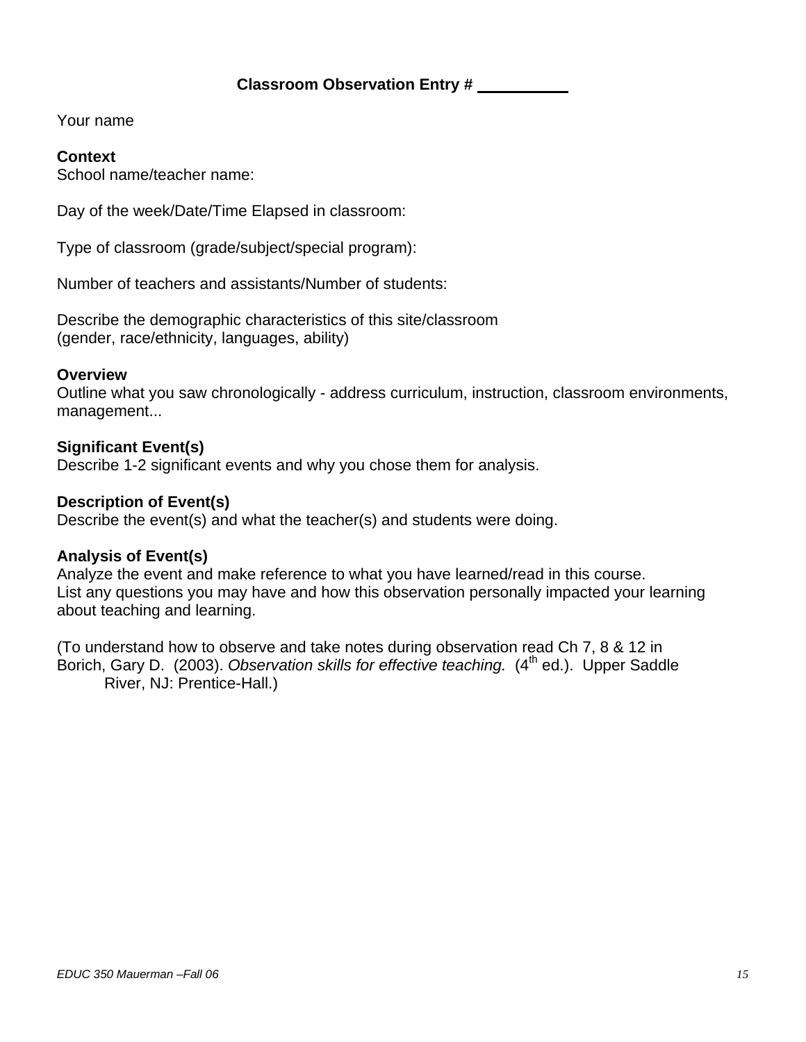## Your name

## **Context**

School name/teacher name:

Day of the week/Date/Time Elapsed in classroom:

Type of classroom (grade/subject/special program):

Number of teachers and assistants/Number of students:

Describe the demographic characteristics of this site/classroom (gender, race/ethnicity, languages, ability)

## **Overview**

Outline what you saw chronologically - address curriculum, instruction, classroom environments, management...

## **Significant Event(s)**

Describe 1-2 significant events and why you chose them for analysis.

## **Description of Event(s)**

Describe the event(s) and what the teacher(s) and students were doing.

## **Analysis of Event(s)**

Analyze the event and make reference to what you have learned/read in this course. List any questions you may have and how this observation personally impacted your learning about teaching and learning.

(To understand how to observe and take notes during observation read Ch 7, 8 & 12 in Borich, Gary D. (2003). *Observation skills for effective teaching.* (4<sup>th</sup> ed.). Upper Saddle River, NJ: Prentice-Hall.)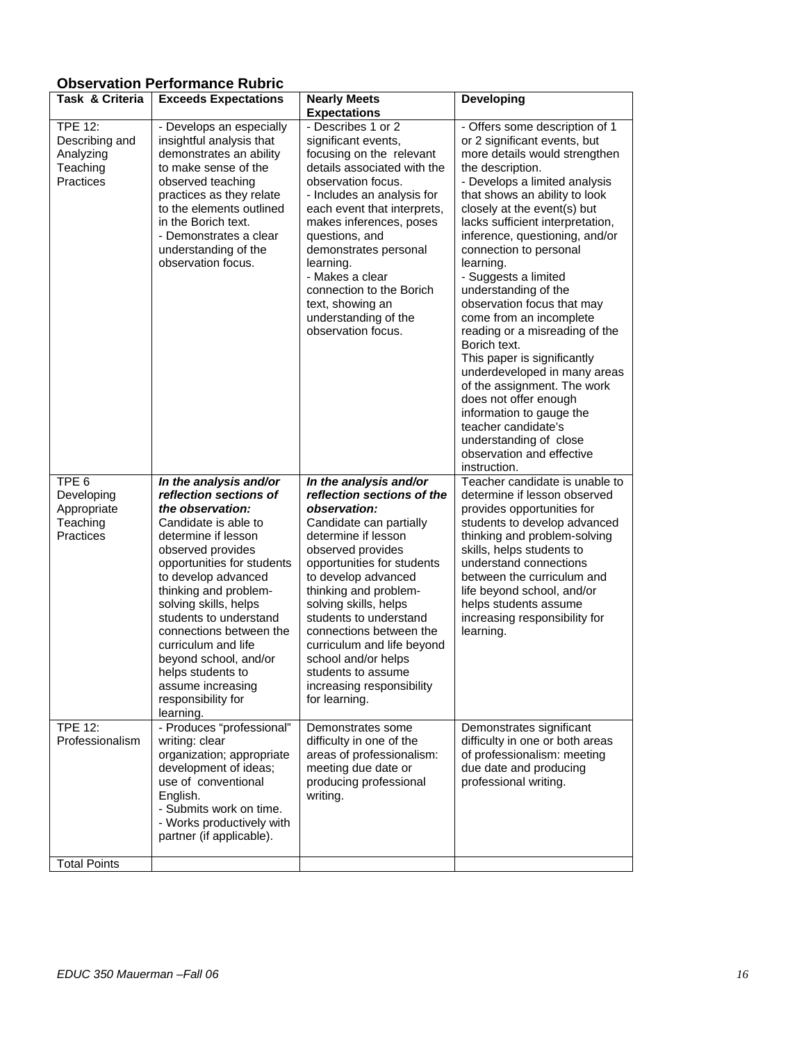# **Observation Performance Rubric**

| <b>TPE 12:</b><br>- Describes 1 or 2<br>- Develops an especially<br>Describing and<br>insightful analysis that<br>significant events,<br>or 2 significant events, but<br>Analyzing<br>demonstrates an ability<br>focusing on the relevant<br>details associated with the<br>Teaching<br>to make sense of the<br>the description.<br>Practices<br>observation focus.<br>observed teaching<br>- Develops a limited analysis<br>practices as they relate<br>- Includes an analysis for<br>that shows an ability to look<br>to the elements outlined<br>closely at the event(s) but<br>each event that interprets,<br>in the Borich text.<br>lacks sufficient interpretation,<br>makes inferences, poses<br>- Demonstrates a clear<br>questions, and<br>understanding of the<br>demonstrates personal<br>connection to personal<br>observation focus.<br>learning.<br>learning.<br>- Makes a clear<br>- Suggests a limited<br>connection to the Borich<br>understanding of the<br>observation focus that may<br>text, showing an<br>understanding of the<br>come from an incomplete<br>observation focus.<br>Borich text.<br>This paper is significantly<br>of the assignment. The work<br>does not offer enough<br>information to gauge the<br>teacher candidate's<br>understanding of close<br>observation and effective<br>instruction.<br>Teacher candidate is unable to<br>TPE <sub>6</sub><br>In the analysis and/or<br>In the analysis and/or<br>reflection sections of the<br>Developing<br>reflection sections of<br>determine if lesson observed<br>the observation:<br>observation:<br>Appropriate<br>provides opportunities for<br>Teaching<br>Candidate is able to<br>Candidate can partially<br>Practices<br>determine if lesson<br>determine if lesson<br>thinking and problem-solving<br>observed provides<br>observed provides<br>skills, helps students to<br>opportunities for students<br>opportunities for students<br>understand connections<br>to develop advanced<br>to develop advanced<br>between the curriculum and<br>thinking and problem-<br>thinking and problem-<br>life beyond school, and/or<br>solving skills, helps<br>solving skills, helps<br>helps students assume<br>students to understand<br>students to understand<br>increasing responsibility for<br>connections between the<br>connections between the<br>learning.<br>curriculum and life<br>curriculum and life beyond<br>school and/or helps<br>beyond school, and/or<br>helps students to<br>students to assume<br>assume increasing<br>increasing responsibility<br>responsibility for<br>for learning.<br>learning.<br>- Produces "professional"<br><b>TPE 12:</b><br>Demonstrates some<br>Demonstrates significant<br>Professionalism<br>difficulty in one or both areas<br>writing: clear<br>difficulty in one of the<br>organization; appropriate<br>of professionalism: meeting<br>areas of professionalism:<br>development of ideas;<br>meeting due date or<br>due date and producing<br>use of conventional<br>professional writing.<br>producing professional<br>English.<br>writing.<br>- Submits work on time.<br>- Works productively with<br>partner (if applicable). | Task & Criteria | <b>Exceeds Expectations</b> | <b>Nearly Meets</b><br><b>Expectations</b> | <b>Developing</b>                                                                                                                                                   |
|----------------------------------------------------------------------------------------------------------------------------------------------------------------------------------------------------------------------------------------------------------------------------------------------------------------------------------------------------------------------------------------------------------------------------------------------------------------------------------------------------------------------------------------------------------------------------------------------------------------------------------------------------------------------------------------------------------------------------------------------------------------------------------------------------------------------------------------------------------------------------------------------------------------------------------------------------------------------------------------------------------------------------------------------------------------------------------------------------------------------------------------------------------------------------------------------------------------------------------------------------------------------------------------------------------------------------------------------------------------------------------------------------------------------------------------------------------------------------------------------------------------------------------------------------------------------------------------------------------------------------------------------------------------------------------------------------------------------------------------------------------------------------------------------------------------------------------------------------------------------------------------------------------------------------------------------------------------------------------------------------------------------------------------------------------------------------------------------------------------------------------------------------------------------------------------------------------------------------------------------------------------------------------------------------------------------------------------------------------------------------------------------------------------------------------------------------------------------------------------------------------------------------------------------------------------------------------------------------------------------------------------------------------------------------------------------------------------------------------------------------------------------------------------------------------------------------------------------------------------------------------------------------------------------------------------------------------------------------------------------------------------------------------------------------------------------------------------------------------------------------------------------------------------------------------|-----------------|-----------------------------|--------------------------------------------|---------------------------------------------------------------------------------------------------------------------------------------------------------------------|
|                                                                                                                                                                                                                                                                                                                                                                                                                                                                                                                                                                                                                                                                                                                                                                                                                                                                                                                                                                                                                                                                                                                                                                                                                                                                                                                                                                                                                                                                                                                                                                                                                                                                                                                                                                                                                                                                                                                                                                                                                                                                                                                                                                                                                                                                                                                                                                                                                                                                                                                                                                                                                                                                                                                                                                                                                                                                                                                                                                                                                                                                                                                                                                                  |                 |                             |                                            | - Offers some description of 1<br>more details would strengthen<br>inference, questioning, and/or<br>reading or a misreading of the<br>underdeveloped in many areas |
|                                                                                                                                                                                                                                                                                                                                                                                                                                                                                                                                                                                                                                                                                                                                                                                                                                                                                                                                                                                                                                                                                                                                                                                                                                                                                                                                                                                                                                                                                                                                                                                                                                                                                                                                                                                                                                                                                                                                                                                                                                                                                                                                                                                                                                                                                                                                                                                                                                                                                                                                                                                                                                                                                                                                                                                                                                                                                                                                                                                                                                                                                                                                                                                  |                 |                             |                                            | students to develop advanced                                                                                                                                        |
| <b>Total Points</b>                                                                                                                                                                                                                                                                                                                                                                                                                                                                                                                                                                                                                                                                                                                                                                                                                                                                                                                                                                                                                                                                                                                                                                                                                                                                                                                                                                                                                                                                                                                                                                                                                                                                                                                                                                                                                                                                                                                                                                                                                                                                                                                                                                                                                                                                                                                                                                                                                                                                                                                                                                                                                                                                                                                                                                                                                                                                                                                                                                                                                                                                                                                                                              |                 |                             |                                            |                                                                                                                                                                     |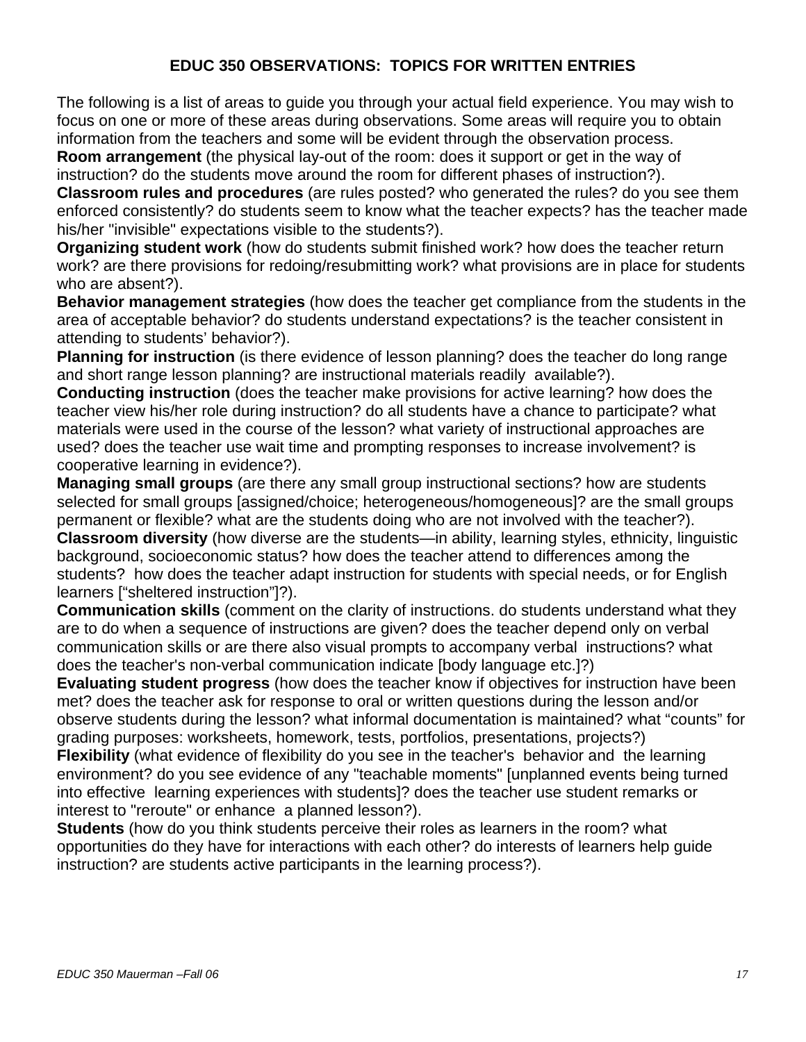## **EDUC 350 OBSERVATIONS: TOPICS FOR WRITTEN ENTRIES**

The following is a list of areas to guide you through your actual field experience. You may wish to focus on one or more of these areas during observations. Some areas will require you to obtain information from the teachers and some will be evident through the observation process. **Room arrangement** (the physical lay-out of the room: does it support or get in the way of

instruction? do the students move around the room for different phases of instruction?). **Classroom rules and procedures** (are rules posted? who generated the rules? do you see them enforced consistently? do students seem to know what the teacher expects? has the teacher made his/her "invisible" expectations visible to the students?).

**Organizing student work** (how do students submit finished work? how does the teacher return work? are there provisions for redoing/resubmitting work? what provisions are in place for students who are absent?).

**Behavior management strategies** (how does the teacher get compliance from the students in the area of acceptable behavior? do students understand expectations? is the teacher consistent in attending to students' behavior?).

**Planning for instruction** (is there evidence of lesson planning? does the teacher do long range and short range lesson planning? are instructional materials readily available?).

**Conducting instruction** (does the teacher make provisions for active learning? how does the teacher view his/her role during instruction? do all students have a chance to participate? what materials were used in the course of the lesson? what variety of instructional approaches are used? does the teacher use wait time and prompting responses to increase involvement? is cooperative learning in evidence?).

**Managing small groups** (are there any small group instructional sections? how are students selected for small groups [assigned/choice; heterogeneous/homogeneous]? are the small groups permanent or flexible? what are the students doing who are not involved with the teacher?). **Classroom diversity** (how diverse are the students—in ability, learning styles, ethnicity, linguistic background, socioeconomic status? how does the teacher attend to differences among the students? how does the teacher adapt instruction for students with special needs, or for English learners ["sheltered instruction"]?).

**Communication skills** (comment on the clarity of instructions. do students understand what they are to do when a sequence of instructions are given? does the teacher depend only on verbal communication skills or are there also visual prompts to accompany verbal instructions? what does the teacher's non-verbal communication indicate [body language etc.]?)

**Evaluating student progress** (how does the teacher know if objectives for instruction have been met? does the teacher ask for response to oral or written questions during the lesson and/or observe students during the lesson? what informal documentation is maintained? what "counts" for grading purposes: worksheets, homework, tests, portfolios, presentations, projects?) **Flexibility** (what evidence of flexibility do you see in the teacher's behavior and the learning environment? do you see evidence of any "teachable moments" [unplanned events being turned into effective learning experiences with students]? does the teacher use student remarks or interest to "reroute" or enhance a planned lesson?).

**Students** (how do you think students perceive their roles as learners in the room? what opportunities do they have for interactions with each other? do interests of learners help guide instruction? are students active participants in the learning process?).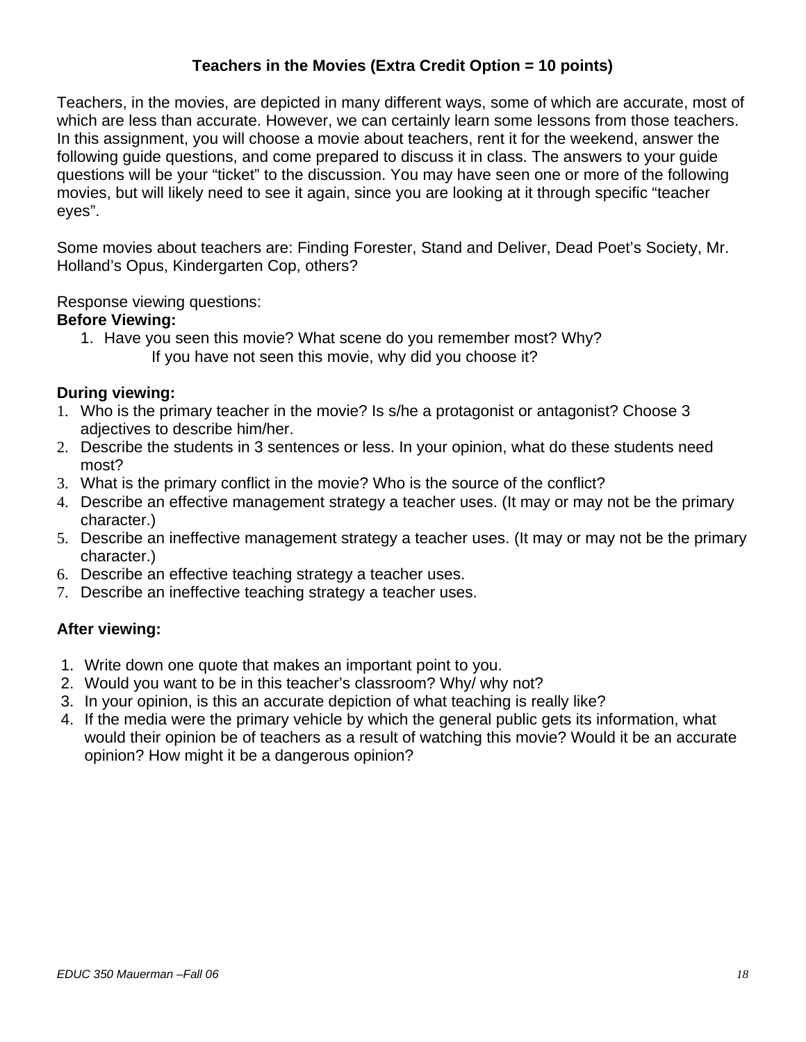# **Teachers in the Movies (Extra Credit Option = 10 points)**

Teachers, in the movies, are depicted in many different ways, some of which are accurate, most of which are less than accurate. However, we can certainly learn some lessons from those teachers. In this assignment, you will choose a movie about teachers, rent it for the weekend, answer the following guide questions, and come prepared to discuss it in class. The answers to your guide questions will be your "ticket" to the discussion. You may have seen one or more of the following movies, but will likely need to see it again, since you are looking at it through specific "teacher eyes".

Some movies about teachers are: Finding Forester, Stand and Deliver, Dead Poet's Society, Mr. Holland's Opus, Kindergarten Cop, others?

Response viewing questions:

## **Before Viewing:**

1. Have you seen this movie? What scene do you remember most? Why? If you have not seen this movie, why did you choose it?

## **During viewing:**

- 1. Who is the primary teacher in the movie? Is s/he a protagonist or antagonist? Choose 3 adjectives to describe him/her.
- 2. Describe the students in 3 sentences or less. In your opinion, what do these students need most?
- 3. What is the primary conflict in the movie? Who is the source of the conflict?
- 4. Describe an effective management strategy a teacher uses. (It may or may not be the primary character.)
- 5. Describe an ineffective management strategy a teacher uses. (It may or may not be the primary character.)
- 6. Describe an effective teaching strategy a teacher uses.
- 7. Describe an ineffective teaching strategy a teacher uses.

## **After viewing:**

- 1. Write down one quote that makes an important point to you.
- 2. Would you want to be in this teacher's classroom? Why/ why not?
- 3. In your opinion, is this an accurate depiction of what teaching is really like?
- 4. If the media were the primary vehicle by which the general public gets its information, what would their opinion be of teachers as a result of watching this movie? Would it be an accurate opinion? How might it be a dangerous opinion?